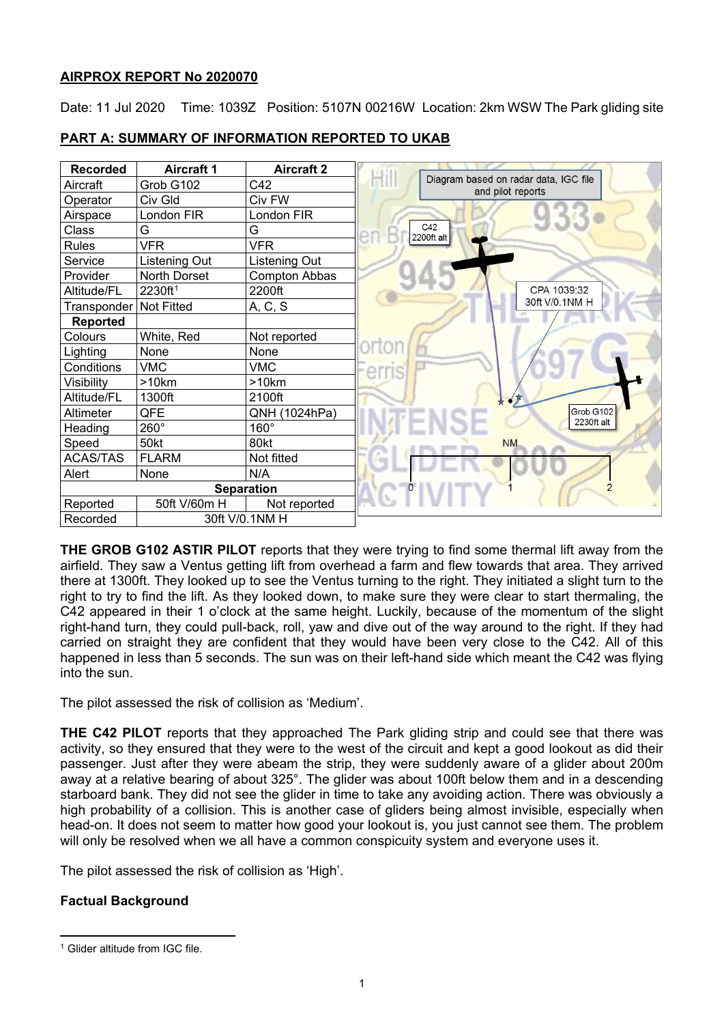## **AIRPROX REPORT No 2020070**

Date: 11 Jul 2020 Time: 1039Z Position: 5107N 00216W Location: 2km WSW The Park gliding site



## **PART A: SUMMARY OF INFORMATION REPORTED TO UKAB**

**THE GROB G102 ASTIR PILOT** reports that they were trying to find some thermal lift away from the airfield. They saw a Ventus getting lift from overhead a farm and flew towards that area. They arrived there at 1300ft. They looked up to see the Ventus turning to the right. They initiated a slight turn to the right to try to find the lift. As they looked down, to make sure they were clear to start thermaling, the C42 appeared in their 1 o'clock at the same height. Luckily, because of the momentum of the slight right-hand turn, they could pull-back, roll, yaw and dive out of the way around to the right. If they had carried on straight they are confident that they would have been very close to the C42. All of this happened in less than 5 seconds. The sun was on their left-hand side which meant the C42 was flying into the sun.

The pilot assessed the risk of collision as 'Medium'.

**THE C42 PILOT** reports that they approached The Park gliding strip and could see that there was activity, so they ensured that they were to the west of the circuit and kept a good lookout as did their passenger. Just after they were abeam the strip, they were suddenly aware of a glider about 200m away at a relative bearing of about 325°. The glider was about 100ft below them and in a descending starboard bank. They did not see the glider in time to take any avoiding action. There was obviously a high probability of a collision. This is another case of gliders being almost invisible, especially when head-on. It does not seem to matter how good your lookout is, you just cannot see them. The problem will only be resolved when we all have a common conspicuity system and everyone uses it.

The pilot assessed the risk of collision as 'High'.

# **Factual Background**

<span id="page-0-0"></span><sup>&</sup>lt;sup>1</sup> Glider altitude from IGC file.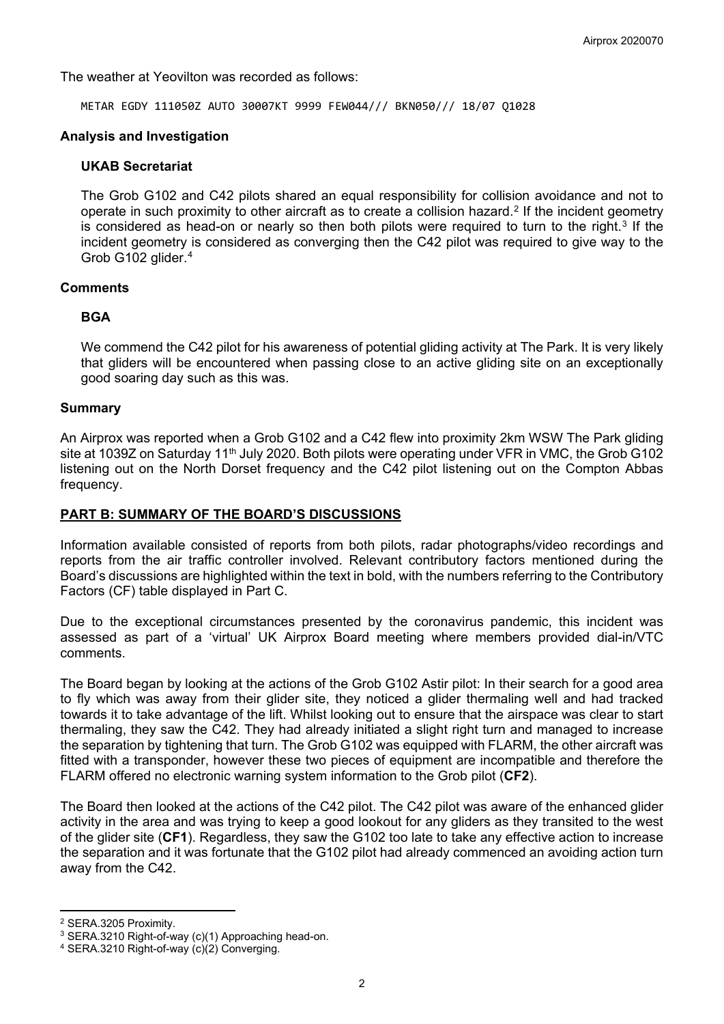The weather at Yeovilton was recorded as follows:

METAR EGDY 111050Z AUTO 30007KT 9999 FEW044/// BKN050/// 18/07 Q1028

## **Analysis and Investigation**

## **UKAB Secretariat**

The Grob G102 and C42 pilots shared an equal responsibility for collision avoidance and not to operate in such proximity to other aircraft as to create a collision hazard.[2](#page-1-0) If the incident geometry is considered as head-on or nearly so then both pilots were required to turn to the right.<sup>[3](#page-1-1)</sup> If the incident geometry is considered as converging then the C42 pilot was required to give way to the Grob G102 glider.[4](#page-1-2)

### **Comments**

## **BGA**

We commend the C42 pilot for his awareness of potential gliding activity at The Park. It is very likely that gliders will be encountered when passing close to an active gliding site on an exceptionally good soaring day such as this was.

### **Summary**

An Airprox was reported when a Grob G102 and a C42 flew into proximity 2km WSW The Park gliding site at 1039Z on Saturday 11<sup>th</sup> July 2020. Both pilots were operating under VFR in VMC, the Grob G102 listening out on the North Dorset frequency and the C42 pilot listening out on the Compton Abbas frequency.

## **PART B: SUMMARY OF THE BOARD'S DISCUSSIONS**

Information available consisted of reports from both pilots, radar photographs/video recordings and reports from the air traffic controller involved. Relevant contributory factors mentioned during the Board's discussions are highlighted within the text in bold, with the numbers referring to the Contributory Factors (CF) table displayed in Part C.

Due to the exceptional circumstances presented by the coronavirus pandemic, this incident was assessed as part of a 'virtual' UK Airprox Board meeting where members provided dial-in/VTC comments.

The Board began by looking at the actions of the Grob G102 Astir pilot: In their search for a good area to fly which was away from their glider site, they noticed a glider thermaling well and had tracked towards it to take advantage of the lift. Whilst looking out to ensure that the airspace was clear to start thermaling, they saw the C42. They had already initiated a slight right turn and managed to increase the separation by tightening that turn. The Grob G102 was equipped with FLARM, the other aircraft was fitted with a transponder, however these two pieces of equipment are incompatible and therefore the FLARM offered no electronic warning system information to the Grob pilot (**CF2**).

The Board then looked at the actions of the C42 pilot. The C42 pilot was aware of the enhanced glider activity in the area and was trying to keep a good lookout for any gliders as they transited to the west of the glider site (**CF1**). Regardless, they saw the G102 too late to take any effective action to increase the separation and it was fortunate that the G102 pilot had already commenced an avoiding action turn away from the C42.

<span id="page-1-0"></span><sup>2</sup> SERA.3205 Proximity.

<span id="page-1-1"></span><sup>3</sup> SERA.3210 Right-of-way (c)(1) Approaching head-on.

<span id="page-1-2"></span><sup>4</sup> SERA.3210 Right-of-way (c)(2) Converging.